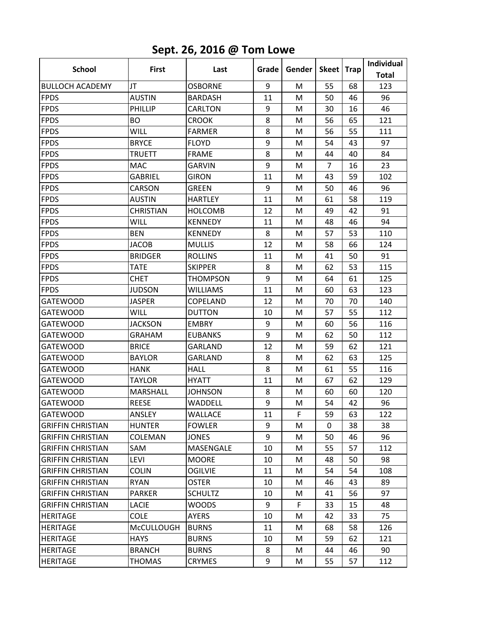## **Sept. 26, 2016 @ Tom Lowe**

| <b>School</b>            | <b>First</b>      | Last            | Grade | Gender | Skeet          |             | Individual   |
|--------------------------|-------------------|-----------------|-------|--------|----------------|-------------|--------------|
|                          |                   |                 |       |        |                | <b>Trap</b> | <b>Total</b> |
| <b>BULLOCH ACADEMY</b>   | JT                | <b>OSBORNE</b>  | 9     | м      | 55             | 68          | 123          |
| <b>FPDS</b>              | <b>AUSTIN</b>     | <b>BARDASH</b>  | 11    | м      | 50             | 46          | 96           |
| <b>FPDS</b>              | PHILLIP           | <b>CARLTON</b>  | 9     | м      | 30             | 16          | 46           |
| <b>FPDS</b>              | <b>BO</b>         | <b>CROOK</b>    | 8     | м      | 56             | 65          | 121          |
| <b>FPDS</b>              | <b>WILL</b>       | <b>FARMER</b>   | 8     | M      | 56             | 55          | 111          |
| <b>FPDS</b>              | <b>BRYCE</b>      | <b>FLOYD</b>    | 9     | м      | 54             | 43          | 97           |
| <b>FPDS</b>              | <b>TRUETT</b>     | FRAME           | 8     | м      | 44             | 40          | 84           |
| <b>FPDS</b>              | <b>MAC</b>        | <b>GARVIN</b>   | 9     | м      | $\overline{7}$ | 16          | 23           |
| <b>FPDS</b>              | <b>GABRIEL</b>    | <b>GIRON</b>    | 11    | м      | 43             | 59          | 102          |
| <b>FPDS</b>              | CARSON            | <b>GREEN</b>    | 9     | М      | 50             | 46          | 96           |
| <b>FPDS</b>              | <b>AUSTIN</b>     | <b>HARTLEY</b>  | 11    | м      | 61             | 58          | 119          |
| <b>FPDS</b>              | <b>CHRISTIAN</b>  | <b>HOLCOMB</b>  | 12    | м      | 49             | 42          | 91           |
| <b>FPDS</b>              | <b>WILL</b>       | <b>KENNEDY</b>  | 11    | м      | 48             | 46          | 94           |
| <b>FPDS</b>              | <b>BEN</b>        | <b>KENNEDY</b>  | 8     | м      | 57             | 53          | 110          |
| <b>FPDS</b>              | <b>JACOB</b>      | <b>MULLIS</b>   | 12    | М      | 58             | 66          | 124          |
| <b>FPDS</b>              | <b>BRIDGER</b>    | <b>ROLLINS</b>  | 11    | М      | 41             | 50          | 91           |
| <b>FPDS</b>              | <b>TATE</b>       | <b>SKIPPER</b>  | 8     | м      | 62             | 53          | 115          |
| <b>FPDS</b>              | <b>CHET</b>       | <b>THOMPSON</b> | 9     | М      | 64             | 61          | 125          |
| <b>FPDS</b>              | <b>JUDSON</b>     | <b>WILLIAMS</b> | 11    | М      | 60             | 63          | 123          |
| <b>GATEWOOD</b>          | <b>JASPER</b>     | <b>COPELAND</b> | 12    | М      | 70             | 70          | 140          |
| <b>GATEWOOD</b>          | <b>WILL</b>       | <b>DUTTON</b>   | 10    | М      | 57             | 55          | 112          |
| <b>GATEWOOD</b>          | <b>JACKSON</b>    | <b>EMBRY</b>    | 9     | M      | 60             | 56          | 116          |
| <b>GATEWOOD</b>          | <b>GRAHAM</b>     | <b>EUBANKS</b>  | 9     | М      | 62             | 50          | 112          |
| <b>GATEWOOD</b>          | <b>BRICE</b>      | <b>GARLAND</b>  | 12    | М      | 59             | 62          | 121          |
| <b>GATEWOOD</b>          | <b>BAYLOR</b>     | <b>GARLAND</b>  | 8     | М      | 62             | 63          | 125          |
| <b>GATEWOOD</b>          | <b>HANK</b>       | <b>HALL</b>     | 8     | М      | 61             | 55          | 116          |
| <b>GATEWOOD</b>          | <b>TAYLOR</b>     | <b>HYATT</b>    | 11    | М      | 67             | 62          | 129          |
| <b>GATEWOOD</b>          | MARSHALL          | <b>JOHNSON</b>  | 8     | м      | 60             | 60          | 120          |
| <b>GATEWOOD</b>          | <b>REESE</b>      | WADDELL         | 9     | M      | 54             | 42          | 96           |
| <b>GATEWOOD</b>          | ANSLEY            | <b>WALLACE</b>  | 11    | F      | 59             | 63          | 122          |
| <b>GRIFFIN CHRISTIAN</b> | <b>HUNTER</b>     | <b>FOWLER</b>   | 9     | M      | $\mathbf 0$    | 38          | 38           |
| <b>GRIFFIN CHRISTIAN</b> | <b>COLEMAN</b>    | <b>JONES</b>    | 9     | M      | 50             | 46          | 96           |
| <b>GRIFFIN CHRISTIAN</b> | SAM               | MASENGALE       | 10    | М      | 55             | 57          | 112          |
| <b>GRIFFIN CHRISTIAN</b> | LEVI              | <b>MOORE</b>    | 10    | М      | 48             | 50          | 98           |
| <b>GRIFFIN CHRISTIAN</b> | <b>COLIN</b>      | <b>OGILVIE</b>  | 11    | M      | 54             | 54          | 108          |
| <b>GRIFFIN CHRISTIAN</b> | <b>RYAN</b>       | <b>OSTER</b>    | 10    | M      | 46             | 43          | 89           |
| <b>GRIFFIN CHRISTIAN</b> | <b>PARKER</b>     | <b>SCHULTZ</b>  | 10    | M      | 41             | 56          | 97           |
| <b>GRIFFIN CHRISTIAN</b> | <b>LACIE</b>      | <b>WOODS</b>    | 9     | F      | 33             | 15          | 48           |
| <b>HERITAGE</b>          | <b>COLE</b>       | <b>AYERS</b>    | 10    | М      | 42             | 33          | 75           |
| HERITAGE                 | <b>MCCULLOUGH</b> | <b>BURNS</b>    | 11    | M      | 68             | 58          | 126          |
| <b>HERITAGE</b>          | <b>HAYS</b>       | <b>BURNS</b>    | 10    | М      | 59             | 62          | 121          |
| <b>HERITAGE</b>          | <b>BRANCH</b>     | <b>BURNS</b>    | 8     | M      | 44             | 46          | 90           |
| <b>HERITAGE</b>          | <b>THOMAS</b>     | <b>CRYMES</b>   | 9     | M      | 55             | 57          | 112          |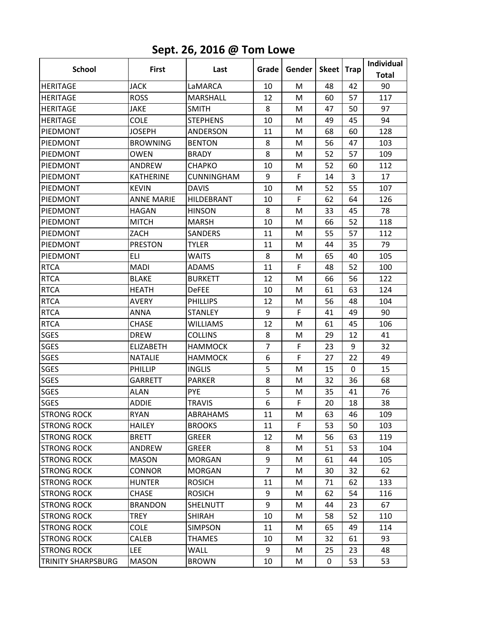## **Sept. 26, 2016 @ Tom Lowe**

| <b>School</b>             | <b>First</b>      | Last              | Grade          | Gender | Skeet       | <b>Trap</b> | Individual   |
|---------------------------|-------------------|-------------------|----------------|--------|-------------|-------------|--------------|
|                           |                   |                   |                |        |             |             | <b>Total</b> |
| <b>HERITAGE</b>           | <b>JACK</b>       | LaMARCA           | 10             | M      | 48          | 42          | 90           |
| <b>HERITAGE</b>           | <b>ROSS</b>       | <b>MARSHALL</b>   | 12             | M      | 60          | 57          | 117          |
| <b>HERITAGE</b>           | <b>JAKE</b>       | <b>SMITH</b>      | 8              | M      | 47          | 50          | 97           |
| <b>HERITAGE</b>           | <b>COLE</b>       | <b>STEPHENS</b>   | 10             | M      | 49          | 45          | 94           |
| PIEDMONT                  | <b>JOSEPH</b>     | <b>ANDERSON</b>   | 11             | M      | 68          | 60          | 128          |
| PIEDMONT                  | <b>BROWNING</b>   | <b>BENTON</b>     | 8              | M      | 56          | 47          | 103          |
| <b>PIEDMONT</b>           | <b>OWEN</b>       | <b>BRADY</b>      | 8              | M      | 52          | 57          | 109          |
| <b>PIEDMONT</b>           | <b>ANDREW</b>     | <b>CHAPKO</b>     | 10             | M      | 52          | 60          | 112          |
| <b>PIEDMONT</b>           | <b>KATHERINE</b>  | <b>CUNNINGHAM</b> | 9              | F      | 14          | 3           | 17           |
| PIEDMONT                  | <b>KEVIN</b>      | <b>DAVIS</b>      | 10             | M      | 52          | 55          | 107          |
| <b>PIEDMONT</b>           | <b>ANNE MARIE</b> | <b>HILDEBRANT</b> | 10             | F      | 62          | 64          | 126          |
| <b>PIEDMONT</b>           | <b>HAGAN</b>      | <b>HINSON</b>     | 8              | M      | 33          | 45          | 78           |
| <b>PIEDMONT</b>           | <b>MITCH</b>      | <b>MARSH</b>      | 10             | M      | 66          | 52          | 118          |
| <b>PIEDMONT</b>           | ZACH              | <b>SANDERS</b>    | 11             | M      | 55          | 57          | 112          |
| IPIEDMONT                 | <b>PRESTON</b>    | <b>TYLER</b>      | 11             | M      | 44          | 35          | 79           |
| PIEDMONT                  | ELI               | <b>WAITS</b>      | 8              | M      | 65          | 40          | 105          |
| <b>RTCA</b>               | <b>MADI</b>       | <b>ADAMS</b>      | 11             | F      | 48          | 52          | 100          |
| <b>RTCA</b>               | <b>BLAKE</b>      | <b>BURKETT</b>    | 12             | M      | 66          | 56          | 122          |
| <b>RTCA</b>               | <b>HEATH</b>      | <b>DeFEE</b>      | 10             | M      | 61          | 63          | 124          |
| <b>RTCA</b>               | AVERY             | <b>PHILLIPS</b>   | 12             | M      | 56          | 48          | 104          |
| <b>RTCA</b>               | ANNA              | <b>STANLEY</b>    | 9              | F      | 41          | 49          | 90           |
| <b>RTCA</b>               | <b>CHASE</b>      | <b>WILLIAMS</b>   | 12             | M      | 61          | 45          | 106          |
| <b>SGES</b>               | <b>DREW</b>       | <b>COLLINS</b>    | 8              | M      | 29          | 12          | 41           |
| <b>SGES</b>               | <b>ELIZABETH</b>  | <b>HAMMOCK</b>    | $\overline{7}$ | F      | 23          | 9           | 32           |
| <b>SGES</b>               | <b>NATALIE</b>    | <b>HAMMOCK</b>    | 6              | F      | 27          | 22          | 49           |
| <b>SGES</b>               | <b>PHILLIP</b>    | <b>INGLIS</b>     | 5              | M      | 15          | $\Omega$    | 15           |
| <b>SGES</b>               | <b>GARRETT</b>    | <b>PARKER</b>     | 8              | M      | 32          | 36          | 68           |
| <b>SGES</b>               | ALAN              | <b>PYE</b>        | 5              | м      | 35          | 41          | 76           |
| <b>SGES</b>               | <b>ADDIE</b>      | <b>TRAVIS</b>     | 6              | F      | 20          | 18          | 38           |
| <b>STRONG ROCK</b>        | <b>RYAN</b>       | ABRAHAMS          | 11             | M      | 63          | 46          | 109          |
| <b>STRONG ROCK</b>        | <b>HAILEY</b>     | <b>BROOKS</b>     | 11             | F      | 53          | 50          | 103          |
| <b>STRONG ROCK</b>        | <b>BRETT</b>      | <b>GREER</b>      | 12             | M      | 56          | 63          | 119          |
| <b>STRONG ROCK</b>        | ANDREW            | <b>GREER</b>      | 8              | M      | 51          | 53          | 104          |
| <b>STRONG ROCK</b>        | <b>MASON</b>      | <b>MORGAN</b>     | 9              | M      | 61          | 44          | 105          |
| <b>STRONG ROCK</b>        | <b>CONNOR</b>     | <b>MORGAN</b>     | $\overline{7}$ | M      | 30          | 32          | 62           |
| <b>STRONG ROCK</b>        | <b>HUNTER</b>     | <b>ROSICH</b>     | 11             | M      | 71          | 62          | 133          |
| <b>STRONG ROCK</b>        | <b>CHASE</b>      | <b>ROSICH</b>     | 9              | M      | 62          | 54          | 116          |
| <b>STRONG ROCK</b>        | <b>BRANDON</b>    | <b>SHELNUTT</b>   | 9              | M      | 44          | 23          | 67           |
| <b>STRONG ROCK</b>        | <b>TREY</b>       | <b>SHIRAH</b>     | 10             | M      | 58          | 52          | 110          |
| <b>STRONG ROCK</b>        | COLE              | <b>SIMPSON</b>    | 11             | M      | 65          | 49          | 114          |
| <b>STRONG ROCK</b>        | CALEB             | <b>THAMES</b>     | 10             | M      | 32          | 61          | 93           |
| <b>STRONG ROCK</b>        | LEE               | <b>WALL</b>       | 9              | M      | 25          | 23          | 48           |
| <b>TRINITY SHARPSBURG</b> | <b>MASON</b>      | <b>BROWN</b>      | 10             | M      | $\mathbf 0$ | 53          | 53           |